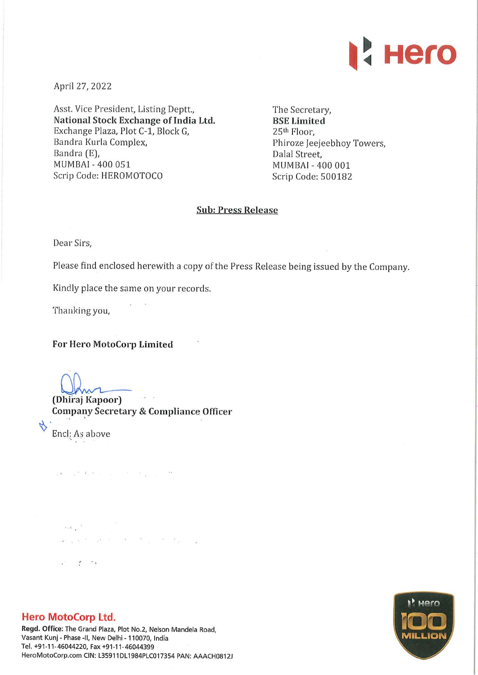

April 27, 2022

Asst. Vice President, Listing Deptt., National Stock Exchange of India Ltd. Exchange Plaza, Plot C-1, Block G, Bandra Kurla Complex, Bandra (E), MUMBAI - 400 051 Scrip Code: HEROMOTOCO

The Secretary, BSE Limited 25th Floor, Phiroze Jeejeebhoy Towers, Dalal Street, MUMBAI - 400 001 Scrip Code: 500182

## Sub: Press Release

Dear Sirs,

Please find enclosed herewith a copy of the Press Release being issued by the Company.

Kindly place the same on your records.

Thanking you,

For Hero MotoCorp Limited

 $\label{eq:2.1} \omega\widetilde{\mathcal{S}} = -\omega^{-\mathrm{K}} - \widetilde{\mathcal{S}}_2 \overset{\mathrm{i}2}{=} -\omega \qquad \times \qquad \qquad \widetilde{\mathcal{S}} = -\frac{\omega}{\omega} - \frac{\omega}{\omega} \qquad ,$ 

(Dhiraj Kapoor) Company Secretary & Compliance Officer

Encl: As above

 $\label{eq:1} \mathcal{H}(\mathbf{x}) = \frac{\mathbf{X}^T \mathbf{X}^T \mathbf{X}^T \mathbf{X}^T \mathbf{X}^T \mathbf{X}^T \mathbf{X}^T \mathbf{X}^T \mathbf{X}^T \mathbf{X}^T \mathbf{X}^T \mathbf{X}^T \mathbf{X}^T \mathbf{X}^T \mathbf{X}^T \mathbf{X}^T \mathbf{X}^T \mathbf{X}^T \mathbf{X}^T \mathbf{X}^T \mathbf{X}^T \mathbf{X}^T \mathbf{X}^T \mathbf{X}^T \mathbf{X}^$ and the second contract of the second contract of the second contract of the second contract of the second contract of the second contract of the second contract of the second contract of the second contract of the second  $\mathcal{L}^{\mathcal{S}}=\mathcal{L}^{\mathcal{S}}_{\mathcal{S}}$  . And



Regd. Office: The Grand Plaza, Plot No.2, Nelson Mandela Road, Vasant Kunj - Phase -II, New Delhi - 110070, India Tel. +91-11-46044220, Fax +91-11-46044399 HeroMotoCorp.com CIN: L35911DL1984PLC017354 PAN: AAACH0812J

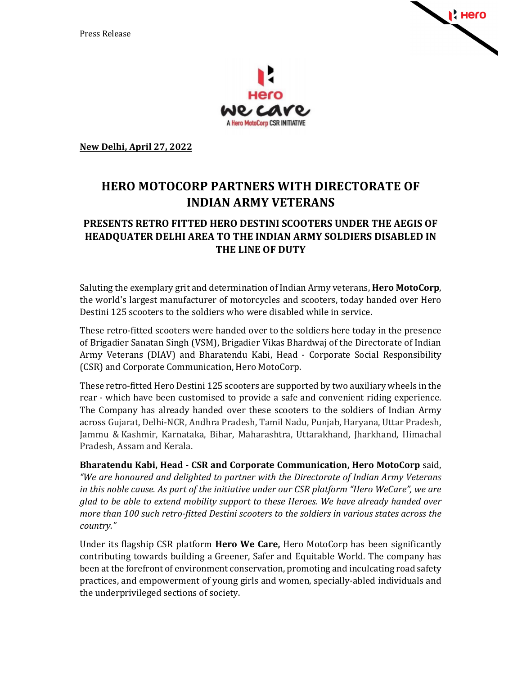



**New Delhi, April 27, 2022** 

## **HERO MOTOCORP PARTNERS WITH DIRECTORATE OF INDIAN ARMY VETERANS**

## **PRESENTS RETRO FITTED HERO DESTINI SCOOTERS UNDER THE AEGIS OF HEADQUATER DELHI AREA TO THE INDIAN ARMY SOLDIERS DISABLED IN THE LINE OF DUTY**

Saluting the exemplary grit and determination of Indian Army veterans, **Hero MotoCorp**, the world's largest manufacturer of motorcycles and scooters, today handed over Hero Destini 125 scooters to the soldiers who were disabled while in service.

These retro-fitted scooters were handed over to the soldiers here today in the presence of Brigadier Sanatan Singh (VSM), Brigadier Vikas Bhardwaj of the Directorate of Indian Army Veterans (DIAV) and Bharatendu Kabi, Head - Corporate Social Responsibility (CSR) and Corporate Communication, Hero MotoCorp.

These retro-fitted Hero Destini 125 scooters are supported by two auxiliary wheels in the rear - which have been customised to provide a safe and convenient riding experience. The Company has already handed over these scooters to the soldiers of Indian Army across Gujarat, Delhi-NCR, Andhra Pradesh, Tamil Nadu, Punjab, Haryana, Uttar Pradesh, Jammu & Kashmir, Karnataka, Bihar, Maharashtra, Uttarakhand, Jharkhand, Himachal Pradesh, Assam and Kerala.

**Bharatendu Kabi, Head - CSR and Corporate Communication, Hero MotoCorp** said, *"We are honoured and delighted to partner with the Directorate of Indian Army Veterans in this noble cause. As part of the initiative under our CSR platform "Hero WeCare", we are glad to be able to extend mobility support to these Heroes. We have already handed over more than 100 such retro-fitted Destini scooters to the soldiers in various states across the country."* 

Under its flagship CSR platform **Hero We Care,** Hero MotoCorp has been significantly contributing towards building a Greener, Safer and Equitable World. The company has been at the forefront of environment conservation, promoting and inculcating road safety practices, and empowerment of young girls and women, specially-abled individuals and the underprivileged sections of society.